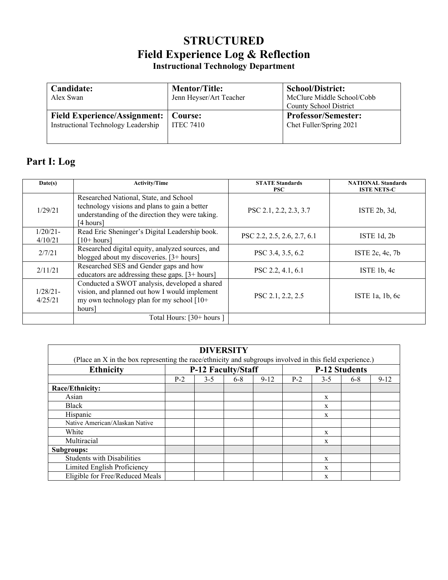## **STRUCTURED Field Experience Log & Reflection Instructional Technology Department**

| Candidate:<br>Alex Swan             | <b>Mentor/Title:</b><br>Jenn Heyser/Art Teacher | <b>School/District:</b><br>McClure Middle School/Cobb<br><b>County School District</b> |
|-------------------------------------|-------------------------------------------------|----------------------------------------------------------------------------------------|
| <b>Field Experience/Assignment:</b> | Course:                                         | <b>Professor/Semester:</b>                                                             |
| Instructional Technology Leadership | <b>ITEC 7410</b>                                | Chet Fuller/Spring 2021                                                                |

# **Part I: Log**

| Date(s)                | <b>Activity/Time</b>                                                                                                                                     | <b>STATE Standards</b><br><b>PSC</b> | <b>NATIONAL Standards</b><br><b>ISTE NETS-C</b> |
|------------------------|----------------------------------------------------------------------------------------------------------------------------------------------------------|--------------------------------------|-------------------------------------------------|
| 1/29/21                | Researched National, State, and School<br>technology visions and plans to gain a better<br>understanding of the direction they were taking.<br>[4 hours] | PSC 2.1, 2.2, 2.3, 3.7               | ISTE $2b$ , $3d$ ,                              |
| $1/20/21$ -<br>4/10/21 | Read Eric Sheninger's Digital Leadership book.<br>[10+ hours]                                                                                            | PSC 2.2, 2.5, 2.6, 2.7, 6.1          | ISTE $1d$ , $2b$                                |
| 2/7/21                 | Researched digital equity, analyzed sources, and<br>blogged about my discoveries. [3+ hours]                                                             | PSC 3.4, 3.5, 6.2                    | ISTE $2c, 4c, 7b$                               |
| 2/11/21                | Researched SES and Gender gaps and how<br>educators are addressing these gaps. [3+ hours]                                                                | PSC 2.2, 4.1, 6.1                    | ISTE $1b, 4c$                                   |
| $1/28/21$ -<br>4/25/21 | Conducted a SWOT analysis, developed a shared<br>vision, and planned out how I would implement<br>my own technology plan for my school [10+<br>hours     | PSC 2.1, 2.2, 2.5                    | ISTE 1a, $1b$ , $6c$                            |
|                        | Total Hours: [30+ hours]                                                                                                                                 |                                      |                                                 |

| <b>DIVERSITY</b>                                                                                         |                    |         |       |          |                      |       |       |          |  |  |  |  |
|----------------------------------------------------------------------------------------------------------|--------------------|---------|-------|----------|----------------------|-------|-------|----------|--|--|--|--|
| (Place an X in the box representing the race/ethnicity and subgroups involved in this field experience.) |                    |         |       |          |                      |       |       |          |  |  |  |  |
| <b>Ethnicity</b>                                                                                         | P-12 Faculty/Staff |         |       |          | <b>P-12 Students</b> |       |       |          |  |  |  |  |
|                                                                                                          | $P-2$              | $3 - 5$ | $6-8$ | $9 - 12$ | $P-2$                | $3-5$ | $6-8$ | $9 - 12$ |  |  |  |  |
| Race/Ethnicity:                                                                                          |                    |         |       |          |                      |       |       |          |  |  |  |  |
| Asian                                                                                                    |                    |         |       |          |                      | X     |       |          |  |  |  |  |
| <b>Black</b>                                                                                             |                    |         |       |          |                      | X     |       |          |  |  |  |  |
| Hispanic                                                                                                 |                    |         |       |          |                      | X     |       |          |  |  |  |  |
| Native American/Alaskan Native                                                                           |                    |         |       |          |                      |       |       |          |  |  |  |  |
| White                                                                                                    |                    |         |       |          |                      | X     |       |          |  |  |  |  |
| Multiracial                                                                                              |                    |         |       |          |                      | X     |       |          |  |  |  |  |
| Subgroups:                                                                                               |                    |         |       |          |                      |       |       |          |  |  |  |  |
| <b>Students with Disabilities</b>                                                                        |                    |         |       |          |                      | X     |       |          |  |  |  |  |
| Limited English Proficiency                                                                              |                    |         |       |          |                      | X     |       |          |  |  |  |  |
| Eligible for Free/Reduced Meals                                                                          |                    |         |       |          |                      | X     |       |          |  |  |  |  |